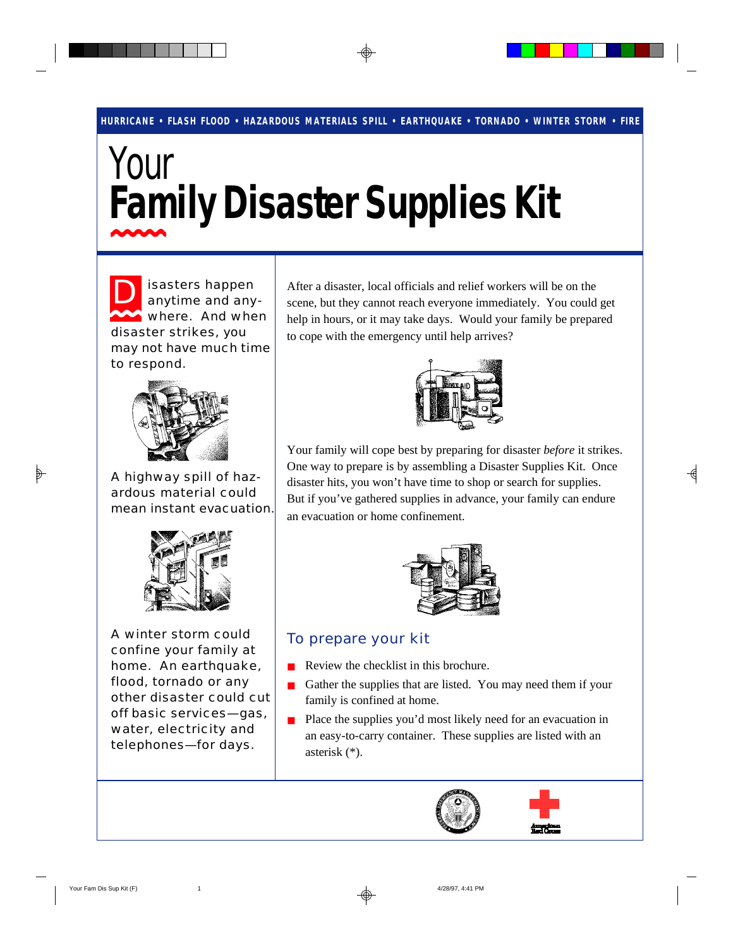**HURRICANE • FLASH FLOOD • HAZARDOUS MATERIALS SPILL • EARTHQUAKE • TORNADO • WINTER STORM • FIRE**

# Your **Family Disaster Supplies Kit**

isasters happen anytime and anywhere. And when disaster strikes, you may not have much time to respond. D



A highway spill of hazardous material could mean instant evacuation.



A winter storm could confine your family at home. An earthquake, flood, tornado or any other disaster could cut off basic services—gas, water, electricity and telephones—for days.

After a disaster, local officials and relief workers will be on the scene, but they cannot reach everyone immediately. You could get help in hours, or it may take days. Would your family be prepared to cope with the emergency until help arrives?



Your family will cope best by preparing for disaster *before* it strikes. One way to prepare is by assembling a Disaster Supplies Kit. Once disaster hits, you won't have time to shop or search for supplies. But if you've gathered supplies in advance, your family can endure an evacuation or home confinement.



### To prepare your kit

- Review the checklist in this brochure.
- Gather the supplies that are listed. You may need them if your family is confined at home.
- Place the supplies you'd most likely need for an evacuation in an easy-to-carry container. These supplies are listed with an asterisk (\*).



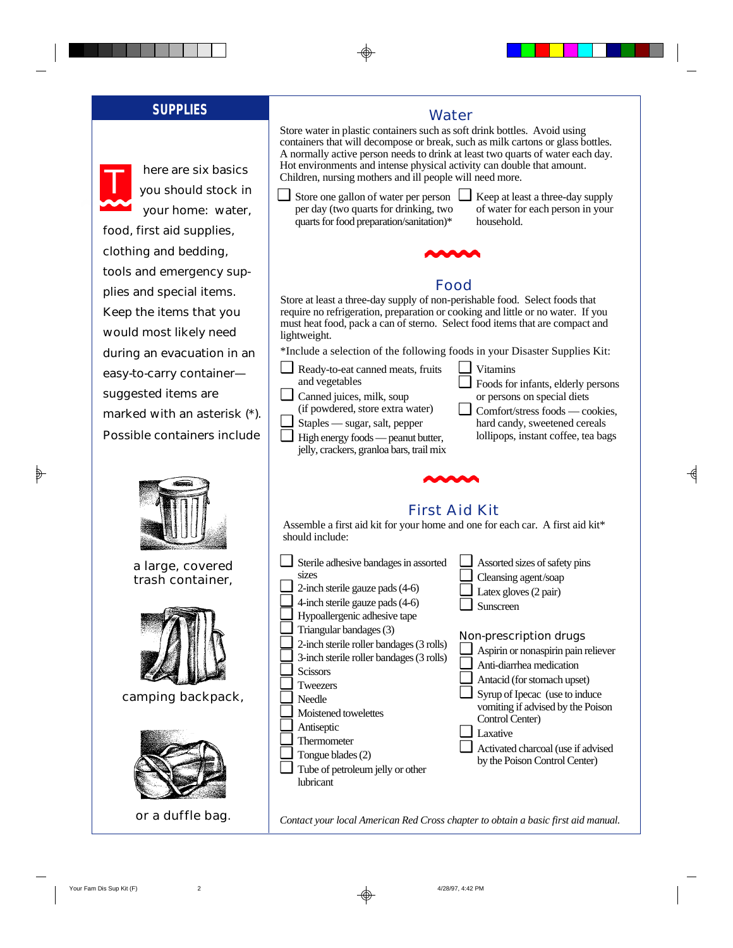## **SUPPLIES** Water



you should stock in your home: water,

food, first aid supplies, clothing and bedding, tools and emergency supplies and special items. Keep the items that you would most likely need during an evacuation in an easy-to-carry container suggested items are marked with an asterisk (\*). Possible containers include



a large, covered trash container,



camping backpack,



or a duffle bag.

Store water in plastic containers such as soft drink bottles. Avoid using containers that will decompose or break, such as milk cartons or glass bottles. A normally active person needs to drink at least two quarts of water each day. Hot environments and intense physical activity can double that amount. here are six basics <br>Children, nursing mothers and ill people will need more. There are six basics<br>Store one gallon of water per person □ Keep at least a three-day supply<br>Store one gallon of water per person □ Keep at least a three-day supply

- per day (two quarts for drinking, two quarts for food preparation/sanitation)\*
- of water for each person in your household.



#### Food

Store at least a three-day supply of non-perishable food. Select foods that require no refrigeration, preparation or cooking and little or no water. If you must heat food, pack a can of sterno. Select food items that are compact and lightweight.

\*Include a selection of the following foods in your Disaster Supplies Kit:

❑ Vitamins

- ❑ Ready-to-eat canned meats, fruits and vegetables
- ❑ Canned juices, milk, soup (if powdered, store extra water)
- ❑ Staples sugar, salt, pepper
- High energy foods peanut butter, jelly, crackers, granloa bars, trail mix
- ❑ Foods for infants, elderly persons or persons on special diets ❑ Comfort/stress foods — cookies, hard candy, sweetened cereals
	- lollipops, instant coffee, tea bags

#### First Aid Kit

❑ Sterile adhesive bandages in assorted sizes ❑ 2-inch sterile gauze pads (4-6) ❑ 4-inch sterile gauze pads (4-6) ❑ Hypoallergenic adhesive tape  $\Box$  Triangular bandages (3) ❑ Assorted sizes of safety pins ❑ Cleansing agent/soap ❑ Latex gloves (2 pair) ❑ Sunscreen Non-prescription drugs Assemble a first aid kit for your home and one for each car. A first aid kit\* should include:

- ❑ 2-inch sterile roller bandages (3 rolls) ❑ 3-inch sterile roller bandages (3 rolls) ❑ Aspirin or nonaspirin pain reliever
	- ❑ Anti-diarrhea medication
	- ❑ Antacid (for stomach upset)
	- ❑ Syrup of Ipecac (use to induce vomiting if advised by the Poison Control Center)
	- ❑ Laxative
	- ❑ Activated charcoal (use if advised by the Poison Control Center)

*Contact your local American Red Cross chapter to obtain a basic first aid manual.*

❑ Scissors ❑ Tweezers ❑ Needle

> ❑ Antiseptic ❑ Thermometer ❑ Tongue blades (2)

lubricant

❑ Moistened towelettes

Tube of petroleum jelly or other

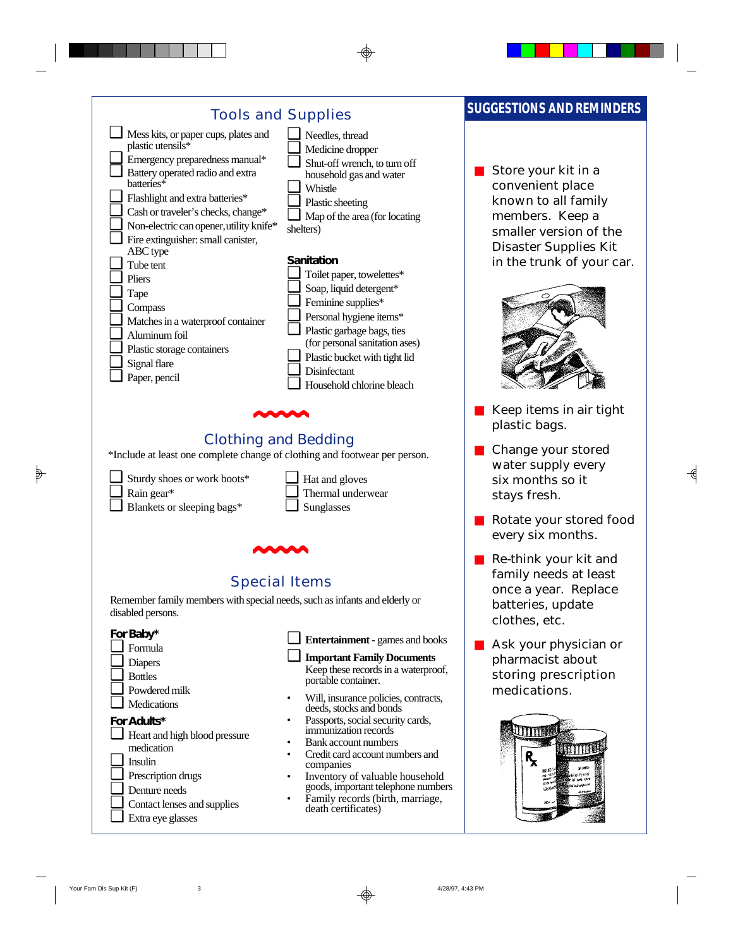